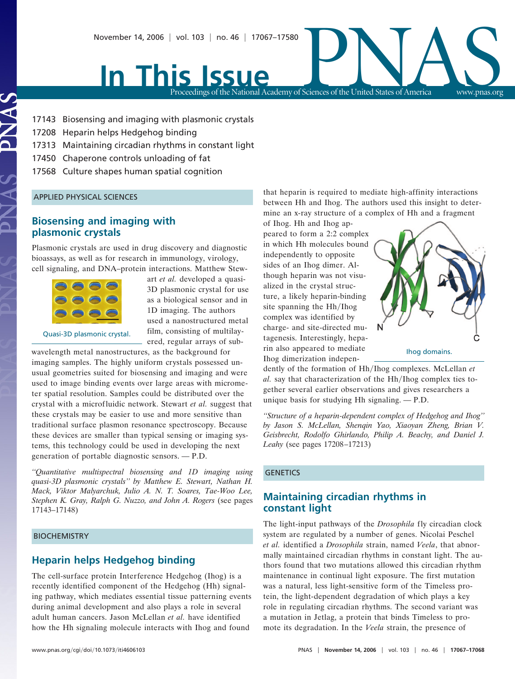# In This Issue November 14, 2006 | vol. 103 | no. 46 | 17067–17580<br>Proceedings of the National Academy of Sciences of the United States of America

Proceedings of the National Academy of Sciences of the United States of America www.pnas.org

17143 Biosensing and imaging with plasmonic crystals

- 17208 Heparin helps Hedgehog binding
- 17313 Maintaining circadian rhythms in constant light
- 17450 Chaperone controls unloading of fat
- 17568 Culture shapes human spatial cognition

#### APPLIED PHYSICAL SCIENCES

# **Biosensing and imaging with plasmonic crystals**

Plasmonic crystals are used in drug discovery and diagnostic bioassays, as well as for research in immunology, virology, cell signaling, and DNA–protein interactions. Matthew Stew-

art *et al.* developed a quasi-3D plasmonic crystal for use as a biological sensor and in 1D imaging. The authors used a nanostructured metal film, consisting of multilayered, regular arrays of sub-

Quasi-3D plasmonic crystal.

wavelength metal nanostructures, as the background for imaging samples. The highly uniform crystals possessed unusual geometries suited for biosensing and imaging and were used to image binding events over large areas with micrometer spatial resolution. Samples could be distributed over the crystal with a microfluidic network. Stewart *et al.* suggest that these crystals may be easier to use and more sensitive than traditional surface plasmon resonance spectroscopy. Because these devices are smaller than typical sensing or imaging systems, this technology could be used in developing the next generation of portable diagnostic sensors. — P.D.

*''Quantitative multispectral biosensing and 1D imaging using quasi-3D plasmonic crystals'' by Matthew E. Stewart, Nathan H. Mack, Viktor Malyarchuk, Julio A. N. T. Soares, Tae-Woo Lee, Stephen K. Gray, Ralph G. Nuzzo, and John A. Rogers* (see pages 17143–17148)

### BIOCHEMISTRY

## **Heparin helps Hedgehog binding**

The cell-surface protein Interference Hedgehog (Ihog) is a recently identified component of the Hedgehog (Hh) signaling pathway, which mediates essential tissue patterning events during animal development and also plays a role in several adult human cancers. Jason McLellan *et al.* have identified how the Hh signaling molecule interacts with Ihog and found

that heparin is required to mediate high-affinity interactions between Hh and Ihog. The authors used this insight to determine an x-ray structure of a complex of Hh and a fragment

of Ihog. Hh and Ihog appeared to form a 2:2 complex in which Hh molecules bound independently to opposite sides of an Ihog dimer. Although heparin was not visualized in the crystal structure, a likely heparin-binding site spanning the Hh/Ihog complex was identified by charge- and site-directed mutagenesis. Interestingly, heparin also appeared to mediate Ihog dimerization indepen-



dently of the formation of Hh/Ihog complexes. McLellan *et al.* say that characterization of the Hh/Ihog complex ties together several earlier observations and gives researchers a unique basis for studying Hh signaling. — P.D.

*''Structure of a heparin-dependent complex of Hedgehog and Ihog'' by Jason S. McLellan, Shenqin Yao, Xiaoyan Zheng, Brian V. Geisbrecht, Rodolfo Ghirlando, Philip A. Beachy, and Daniel J. Leahy* (see pages 17208–17213)

## **GENETICS**

# **Maintaining circadian rhythms in constant light**

The light-input pathways of the *Drosophila* fly circadian clock system are regulated by a number of genes. Nicolai Peschel *et al.* identified a *Drosophila* strain, named *Veela*, that abnormally maintained circadian rhythms in constant light. The authors found that two mutations allowed this circadian rhythm maintenance in continual light exposure. The first mutation was a natural, less light-sensitive form of the Timeless protein, the light-dependent degradation of which plays a key role in regulating circadian rhythms. The second variant was a mutation in Jetlag, a protein that binds Timeless to promote its degradation. In the *Veela* strain, the presence of